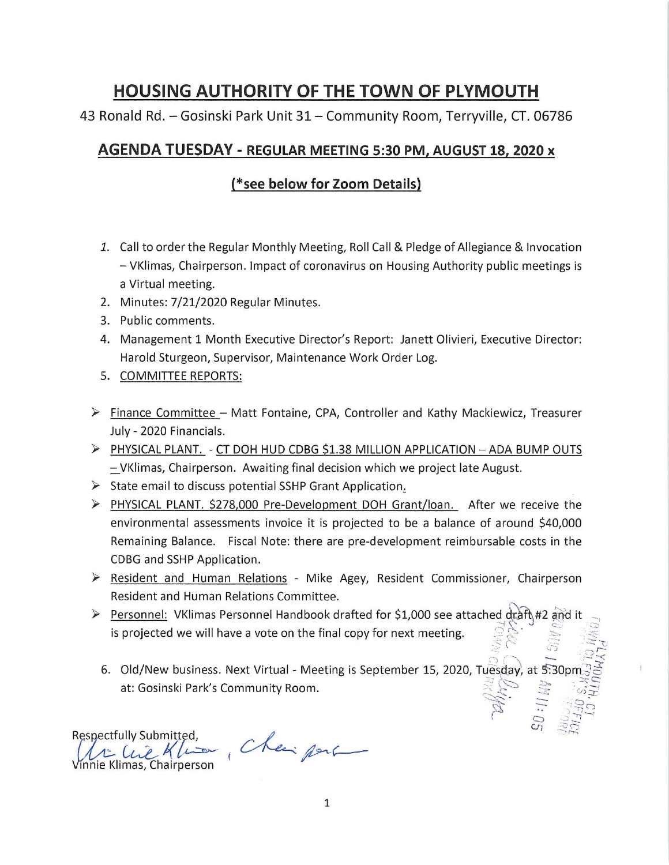## **HOUSING AUTHORITY OF THE TOWN OF PLYMOUTH**

43 Ronald Rd. - Gosinski Park Unit 31 - Community Room, Terryville, CT. 06786

## **AGENDA TUESDAY - REGULAR MEETING 5:30 PM, AUGUST 18, 2020 x**

## **(\*see below for Zoom Details)**

- 1. Call to order the Regular Monthly Meeting, Roll Call & Pledge of Allegiance & Invocation - VKlimas, Chairperson. Impact of coronavirus on Housing Authority public meetings is a Virtual meeting.
- 2. Minutes: 7/21/2020 Regular Minutes.
- 3. Public comments.
- 4. Management 1 Month Executive Director's Report: Janett Olivieri, Executive Director: Harold Sturgeon, Supervisor, Maintenance Work Order Log.
- 5. COMMITTEE REPORTS:
- $\triangleright$  Finance Committee Matt Fontaine, CPA, Controller and Kathy Mackiewicz, Treasurer July - 2020 Financials.
- ~ PHYSICAL PLANT. CT DOH HUD CDBG \$1.38 MILLION APPLICATION ADA BUMP OUTS - VKlimas, Chairperson. Awaiting final decision which we project late August.
- $\triangleright$  State email to discuss potential SSHP Grant Application.
- ~ PHYSICAL PLANT. \$278,000 Pre-Development DOH Grant/loan. After we receive the environmental assessments invoice it is projected to be a balance of around \$40,000 Remaining Balance. Fiscal Note: there are pre-development reimbursable costs in the CDBG and SSHP Application.
- $\triangleright$  Resident and Human Relations Mike Agey, Resident Commissioner, Chairperson Resident and Human Relations Committee.
- ▶ Personnel: VKlimas Personnel Handbook drafted for \$1,000 see attached draft #2 and it is projected we will have a vote on the final copy for next meeting.  $\in \mathbb{A}$  .  $\infty$  .  $\infty$ 
	- $\frac{1}{2}$  ,  $\frac{1}{2}$  ,  $\frac{1}{2}$  ,  $\frac{1}{2}$  ,  $\frac{1}{2}$  ,  $\frac{1}{2}$  ,  $\frac{1}{2}$ 6. Old/New business. Next Virtual - Meeting is September 15, 2020, Tuesday, at 5:30pr at: Gosinski Park's Community Room.  $\begin{align} \widetilde{\mathscr{L}}_{\mathcal{F}} & := \mathscr{L}_{\mathcal{F}} \ \widetilde{\mathscr{L}}_{\mathcal{F}} & := \mathscr{L}_{\mathcal{F}} \end{align}$

*(* c::> .\_) *:::::* --,  $5.575$ 

Respectfully Submitted, spectfully Submitted,<br>Li Clie Klum Cheippine XIII